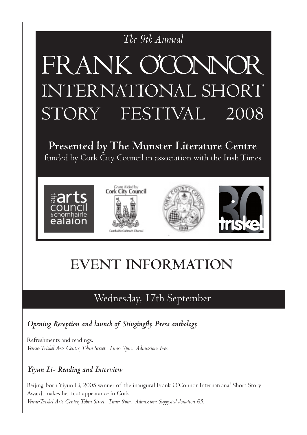### *The 9th Annual*

# **PRESENTED BY THE MUNICIPY OF A BUSIC BY THE MUNICIPY OF THE MUNICIPY OF THE MUNICIPY OF THE MUNICIPY OF THE MU** FKANK CULINNUK FRANK O'CONNOR INTERNATIONAL SHORT STORY FESTIVAL 2008

**Presented by The Munster Literature Centre** funded by Cork City Council in association with the Irish Times



# **EVENT INFORMATION**

### Wednesday, 17th September

*Opening Reception and launch of Stingingfly Press anthology*

Refreshments and readings. *Venue: Triskel Arts Centre, Tobin Street. Time: 7pm. Admission: Free.*

### *Yiyun Li- Reading and Interview*

Beijing-born Yiyun Li, 2005 winner of the inaugural Frank O'Connor International Short Story Award, makes her first appearance in Cork. *Venue:Triskel Arts Centre, Tobin Street. Time: 9pm. Admission: Suggested donation €5.*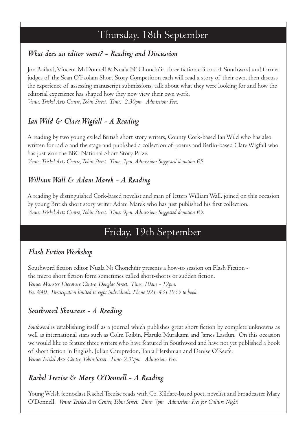### Thursday, 18th September

### *What does an editor want? - Reading and Discussion*

Jon Boilard, Vincent McDonnell & Nuala Ní Chonchúir, three fiction editors of Southword and former judges of the Sean O'Faolain Short Story Competition each will read a story of their own, then discuss the experience of assessing manuscript submissions, talk about what they were looking for and how the editorial experience has shaped how they now view their own work. *Venue: Triskel Arts Centre, Tobin Street. Time: 2.30pm. Admission: Free.*

### *Ian Wild & Clare Wigfall - A Reading*

A reading by two young exiled British short story writers, County Cork-based Ian Wild who has also written for radio and the stage and published a collection of poems and Berlin-based Clare Wigfall who has just won the BBC National Short Story Prize. *Venue: Triskel Arts Centre, Tobin Street. Time: 7pm. Admission: Suggested donation €5.*

#### *William Wall & Adam Marek - A Reading*

A reading by distinguished Cork-based novelist and man of letters William Wall, joined on this occasion by young British short story writer Adam Marek who has just published his first collection. *Venue: Triskel Arts Centre, Tobin Street. Time: 9pm. Admission: Suggested donation €5.*

### Friday, 19th September

### *Flash Fiction Workshop*

Southword fiction editor Nuala Ní Chonchúir presents a how-to session on Flash Fiction the micro short fiction form sometimes called short-shorts or sudden fiction. *Venue: Munster Literature Centre, Douglas Street. Time: 10am - 12pm. Fee: €40. Participation limited to eight individuals. Phone 021-4312955 to book.*

#### *Southword Showcase - A Reading*

*Southword* is establishing itself as a journal which publishes great short fiction by complete unknowns as well as international stars such as Colm Toibín, Haruki Murakami and James Lasdun. On this occasion we would like to feature three writers who have featured in Southword and have not yet published a book of short fiction in English. Julian Campredon, Tania Hershman and Denise O'Keefe. *Venue: Triskel Arts Centre, Tobin Street. Time: 2.30pm. Admission: Free.*

### *Rachel Trezise & Mary O'Donnell - A Reading*

Young Welsh iconoclast Rachel Trezise reads with Co. Kildare-based poet, novelist and broadcaster Mary O'Donnell. *Venue: Triskel Arts Centre, Tobin Street. Time: 7pm. Admission: Free for Culture Night!*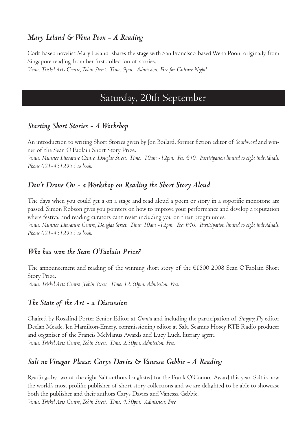### *Mary Leland & Wena Poon - A Reading*

Cork-based novelist Mary Leland shares the stage with San Francisco-based Wena Poon, originally from Singapore reading from her first collection of stories. *Venue: Triskel Arts Centre, Tobin Street. Time: 9pm. Admission: Free for Culture Night!*

### Saturday, 20th September

### *Starting Short Stories - A Workshop*

An introduction to writing Short Stories given by Jon Boilard, former fiction editor of *Southword* and winner of the Sean O'Faolain Short Story Prize.

*Venue: Munster Literature Centre, Douglas Street. Time: 10am -12pm. Fee: €40. Participation limited to eight individuals. Phone 021-4312955 to book.*

### *Don't Drone On - a Workshop on Reading the Short Story Aloud*

The days when you could get a on a stage and read aloud a poem or story in a soporific monotone are passed. Simon Robson gives you pointers on how to improve your performance and develop a reputation where festival and reading curators can't resist including you on their programmes.

*Venue: Munster Literature Centre, Douglas Street. Time: 10am -12pm. Fee: €40. Participation limited to eight individuals. Phone 021-4312955 to book.*

### *Who has won the Sean O'Faolain Prize?*

The announcement and reading of the winning short story of the €1500 2008 Sean O'Faolain Short Story Prize. *Venue: Triskel Arts Centre ,Tobin Street. Time: 12.30pm. Admission: Free.*

### *The State of the Art - a Discussion*

Chaired by Rosalind Porter Senior Editor at *Granta* and including the participation of *Stinging Fly* editor Declan Meade, Jen Hamilton-Emery, commissioning editor at Salt, Seamus Hosey RTE Radio producer and organiser of the Francis McManus Awards and Lucy Luck, literary agent. *Venue: Triskel Arts Centre, Tobin Street. Time: 2.30pm. Admission: Free.* 

### *Salt no Vinegar Please: Carys Davies & Vanessa Gebbie - A Reading*

Readings by two of the eight Salt authors longlisted for the Frank O'Connor Award this year. Salt is now the world's most prolific publisher of short story collections and we are delighted to be able to showcase both the publisher and their authors Carys Davies and Vanessa Gebbie. *Venue: Triskel Arts Centre, Tobin Street. Time: 4.30pm. Admission: Free.*